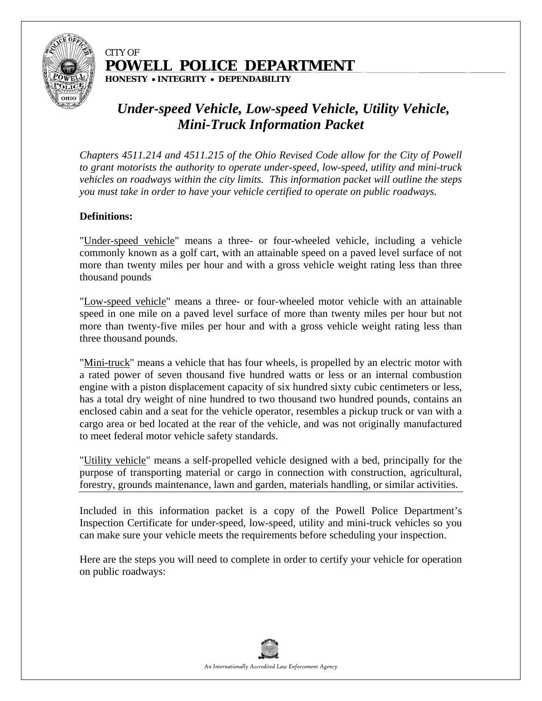

#### CITY OF **POWELL POLICE DEPARTMENT**

**HONESTY INTEGRITY DEPENDABILITY** 

## *Under-speed Vehicle, Low-speed Vehicle, Utility Vehicle, Mini-Truck Information Packet*

*Chapters 4511.214 and 4511.215 of the Ohio Revised Code allow for the City of Powell to grant motorists the authority to operate under-speed, low-speed, utility and mini-truck vehicles on roadways within the city limits. This information packet will outline the steps you must take in order to have your vehicle certified to operate on public roadways.* 

#### **Definitions:**

"Under-speed vehicle" means a three- or four-wheeled vehicle, including a vehicle commonly known as a golf cart, with an attainable speed on a paved level surface of not more than twenty miles per hour and with a gross vehicle weight rating less than three thousand pounds

"Low-speed vehicle" means a three- or four-wheeled motor vehicle with an attainable speed in one mile on a paved level surface of more than twenty miles per hour but not more than twenty-five miles per hour and with a gross vehicle weight rating less than three thousand pounds.

"Mini-truck" means a vehicle that has four wheels, is propelled by an electric motor with a rated power of seven thousand five hundred watts or less or an internal combustion engine with a piston displacement capacity of six hundred sixty cubic centimeters or less, has a total dry weight of nine hundred to two thousand two hundred pounds, contains an enclosed cabin and a seat for the vehicle operator, resembles a pickup truck or van with a cargo area or bed located at the rear of the vehicle, and was not originally manufactured to meet federal motor vehicle safety standards.

"Utility vehicle" means a self-propelled vehicle designed with a bed, principally for the purpose of transporting material or cargo in connection with construction, agricultural, forestry, grounds maintenance, lawn and garden, materials handling, or similar activities.

Included in this information packet is a copy of the Powell Police Department's Inspection Certificate for under-speed, low-speed, utility and mini-truck vehicles so you can make sure your vehicle meets the requirements before scheduling your inspection.

Here are the steps you will need to complete in order to certify your vehicle for operation on public roadways:

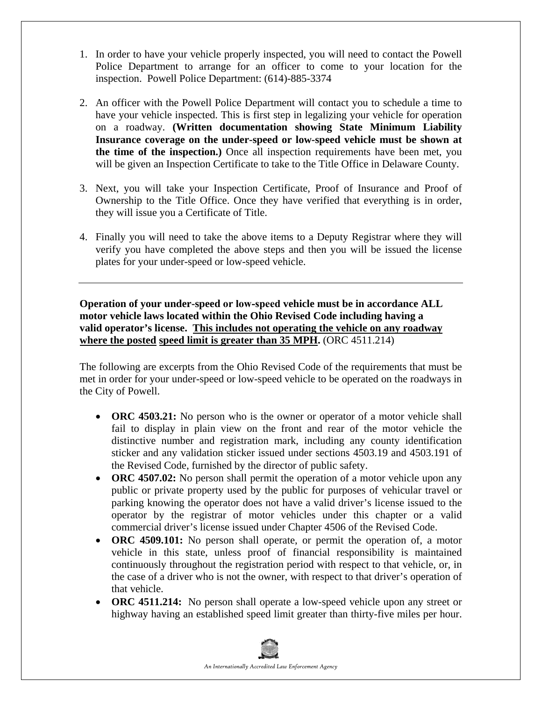- 1. In order to have your vehicle properly inspected, you will need to contact the Powell Police Department to arrange for an officer to come to your location for the inspection. Powell Police Department: (614)-885-3374
- 2. An officer with the Powell Police Department will contact you to schedule a time to have your vehicle inspected. This is first step in legalizing your vehicle for operation on a roadway. **(Written documentation showing State Minimum Liability Insurance coverage on the under-speed or low-speed vehicle must be shown at the time of the inspection.)** Once all inspection requirements have been met, you will be given an Inspection Certificate to take to the Title Office in Delaware County.
- 3. Next, you will take your Inspection Certificate, Proof of Insurance and Proof of Ownership to the Title Office. Once they have verified that everything is in order, they will issue you a Certificate of Title.
- 4. Finally you will need to take the above items to a Deputy Registrar where they will verify you have completed the above steps and then you will be issued the license plates for your under-speed or low-speed vehicle.

**Operation of your under-speed or low-speed vehicle must be in accordance ALL motor vehicle laws located within the Ohio Revised Code including having a valid operator's license. This includes not operating the vehicle on any roadway where the posted speed limit is greater than 35 MPH.** (ORC 4511.214)

The following are excerpts from the Ohio Revised Code of the requirements that must be met in order for your under-speed or low-speed vehicle to be operated on the roadways in the City of Powell.

- **ORC 4503.21:** No person who is the owner or operator of a motor vehicle shall fail to display in plain view on the front and rear of the motor vehicle the distinctive number and registration mark, including any county identification sticker and any validation sticker issued under sections 4503.19 and 4503.191 of the Revised Code, furnished by the director of public safety.
- **ORC 4507.02:** No person shall permit the operation of a motor vehicle upon any public or private property used by the public for purposes of vehicular travel or parking knowing the operator does not have a valid driver's license issued to the operator by the registrar of motor vehicles under this chapter or a valid commercial driver's license issued under Chapter 4506 of the Revised Code.
- **ORC 4509.101:** No person shall operate, or permit the operation of, a motor vehicle in this state, unless proof of financial responsibility is maintained continuously throughout the registration period with respect to that vehicle, or, in the case of a driver who is not the owner, with respect to that driver's operation of that vehicle.
- **ORC 4511.214:** No person shall operate a low-speed vehicle upon any street or highway having an established speed limit greater than thirty-five miles per hour.

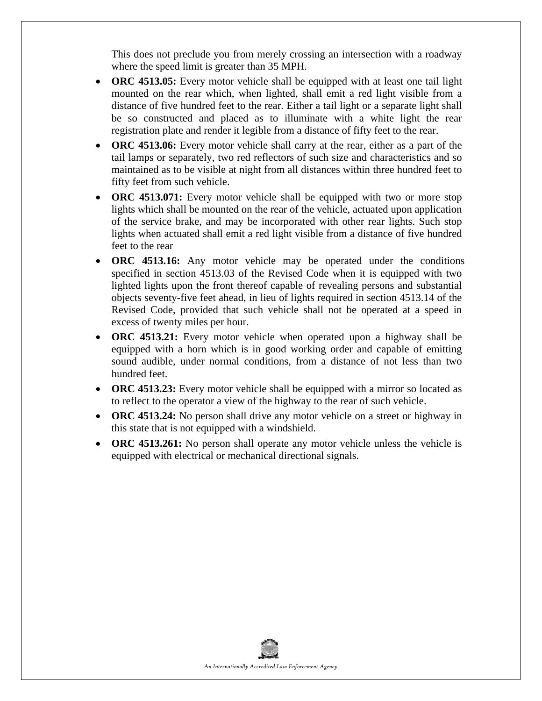This does not preclude you from merely crossing an intersection with a roadway where the speed limit is greater than 35 MPH.

- **ORC 4513.05:** Every motor vehicle shall be equipped with at least one tail light mounted on the rear which, when lighted, shall emit a red light visible from a distance of five hundred feet to the rear. Either a tail light or a separate light shall be so constructed and placed as to illuminate with a white light the rear registration plate and render it legible from a distance of fifty feet to the rear.
- **ORC 4513.06:** Every motor vehicle shall carry at the rear, either as a part of the tail lamps or separately, two red reflectors of such size and characteristics and so maintained as to be visible at night from all distances within three hundred feet to fifty feet from such vehicle.
- **ORC 4513.071:** Every motor vehicle shall be equipped with two or more stop lights which shall be mounted on the rear of the vehicle, actuated upon application of the service brake, and may be incorporated with other rear lights. Such stop lights when actuated shall emit a red light visible from a distance of five hundred feet to the rear
- **ORC 4513.16:** Any motor vehicle may be operated under the conditions specified in section 4513.03 of the Revised Code when it is equipped with two lighted lights upon the front thereof capable of revealing persons and substantial objects seventy-five feet ahead, in lieu of lights required in section 4513.14 of the Revised Code, provided that such vehicle shall not be operated at a speed in excess of twenty miles per hour.
- **ORC 4513.21:** Every motor vehicle when operated upon a highway shall be equipped with a horn which is in good working order and capable of emitting sound audible, under normal conditions, from a distance of not less than two hundred feet.
- **ORC 4513.23:** Every motor vehicle shall be equipped with a mirror so located as to reflect to the operator a view of the highway to the rear of such vehicle.
- **ORC 4513.24:** No person shall drive any motor vehicle on a street or highway in this state that is not equipped with a windshield.
- **ORC 4513.261:** No person shall operate any motor vehicle unless the vehicle is equipped with electrical or mechanical directional signals.